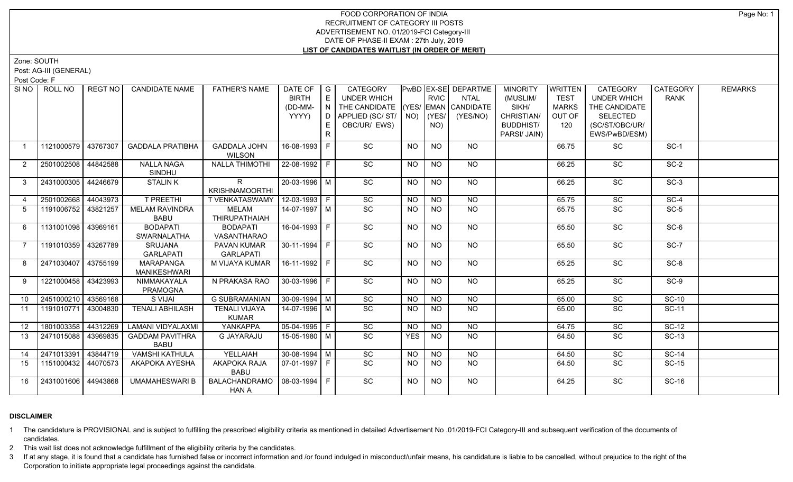# FOOD CORPORATION OF INDIA RECRUITMENT OF CATEGORY III POSTS ADVERTISEMENT NO. 01/2019-FCI Category-III DATE OF PHASE-II EXAM : 27th July, 2019 **LIST OF CANDIDATES WAITLIST (IN ORDER OF MERIT)**

Zone: SOUTH

Post: AG-III (GENERAL)

Post Code: F

| SI NO           | ROLL NO             | REGT NO  | <b>CANDIDATE NAME</b>              | <b>FATHER'S NAME</b>  | DATE OF            | $\overline{\phantom{a}}$ G | CATEGORY                           |                 |                 | PwBD EX-SE DEPARTME | <b>MINORITY</b>  | <b>WRITTEN</b> | <b>CATEGORY</b>    | CATEGORY    | <b>REMARKS</b> |
|-----------------|---------------------|----------|------------------------------------|-----------------------|--------------------|----------------------------|------------------------------------|-----------------|-----------------|---------------------|------------------|----------------|--------------------|-------------|----------------|
|                 |                     |          |                                    |                       | <b>BIRTH</b>       | $\mathsf E$                | <b>UNDER WHICH</b>                 |                 | <b>RVIC</b>     | <b>NTAL</b>         | (MUSLIM/         | <b>TEST</b>    | <b>UNDER WHICH</b> | <b>RANK</b> |                |
|                 |                     |          |                                    |                       | (DD-MM-            | N                          | THE CANDIDATE (YES/ EMAN CANDIDATE |                 |                 |                     | SIKH/            | <b>MARKS</b>   | THE CANDIDATE      |             |                |
|                 |                     |          |                                    |                       | YYYY)              | D                          | APPLIED (SC/ST/                    | $NO)$ (YES/     |                 | (YES/NO)            | CHRISTIAN/       | OUT OF         | <b>SELECTED</b>    |             |                |
|                 |                     |          |                                    |                       |                    | E                          | OBC/UR/ EWS)                       |                 | NO)             |                     | <b>BUDDHIST/</b> | 120            | (SC/ST/OBC/UR/     |             |                |
|                 |                     |          |                                    |                       |                    |                            |                                    |                 |                 |                     | PARSI/ JAIN)     |                | EWS/PwBD/ESM)      |             |                |
| $\mathbf{1}$    | 1121000579          | 43767307 | <b>GADDALA PRATIBHA</b>            | <b>GADDALA JOHN</b>   | 16-08-1993         | F                          | SC                                 | NO              | NO              | NO                  |                  | 66.75          | <b>SC</b>          | $SC-1$      |                |
|                 |                     |          |                                    | <b>WILSON</b>         |                    |                            |                                    |                 |                 |                     |                  |                |                    |             |                |
| $\overline{2}$  | 2501002508 44842588 |          | <b>NALLA NAGA</b>                  | <b>NALLA THIMOTHI</b> | $22 - 08 - 1992$ F |                            | SC                                 | <b>NO</b>       | <b>NO</b>       | <b>NO</b>           |                  | 66.25          | SC                 | $SC-2$      |                |
|                 |                     |          | <b>SINDHU</b>                      |                       |                    |                            |                                    |                 |                 |                     |                  |                |                    |             |                |
| 3               | 2431000305 44246679 |          | <b>STALINK</b>                     | R.                    | 20-03-1996 M       |                            | SC                                 | $\overline{NO}$ | $\overline{NQ}$ | $N$ <sup>O</sup>    |                  | 66.25          | $\overline{SC}$    | $SC-3$      |                |
|                 |                     |          |                                    | <b>KRISHNAMOORTHI</b> |                    |                            |                                    |                 |                 |                     |                  |                |                    |             |                |
| 4               | 2501002668          | 44043973 | <b>T PREETHI</b>                   | T VENKATASWAMY        | $12-03-1993$ F     |                            | $\overline{SC}$                    | NO              | N <sub>O</sub>  | NO                  |                  | 65.75          | <b>SC</b>          | $SC-4$      |                |
| 5               | 1191006752 43821257 |          | <b>MELAM RAVINDRA</b>              | <b>MELAM</b>          | 14-07-1997 M       |                            | $\overline{SC}$                    | NO.             | <b>NO</b>       | <b>NO</b>           |                  | 65.75          | SC                 | $SC-5$      |                |
|                 |                     |          | <b>BABU</b>                        | <b>THIRUPATHAIAH</b>  |                    |                            |                                    |                 |                 |                     |                  |                |                    |             |                |
| 6               | 1131001098 43969161 |          | <b>BODAPATI</b>                    | <b>BODAPATI</b>       | 16-04-1993 F       |                            | $\overline{SC}$                    | <b>NO</b>       | <b>NO</b>       | NO                  |                  | 65.50          | SC                 | $SC-6$      |                |
|                 |                     |          | SWARNALATHA                        | <b>VASANTHARAO</b>    |                    |                            |                                    |                 |                 |                     |                  |                |                    |             |                |
| $\overline{7}$  | 1191010359 43267789 |          | SRUJANA                            | PAVAN KUMAR           | $30-11-1994$ F     |                            | SC                                 | NO.             | <b>NO</b>       | NO                  |                  | 65.50          | SC                 | $SC-7$      |                |
|                 |                     |          | <b>GARLAPATI</b>                   | <b>GARLAPATI</b>      |                    |                            |                                    |                 |                 |                     |                  |                |                    |             |                |
| 8               | 2471030407 43755199 |          | <b>MARAPANGA</b>                   | M VIJAYA KUMAR        | 16-11-1992 F       |                            | SC                                 | <b>NO</b>       | <b>NO</b>       | <b>NO</b>           |                  | 65.25          | SC                 | $SC-8$      |                |
| 9               | 1221000458 43423993 |          | <b>MANIKESHWARI</b><br>NIMMAKAYALA | N PRAKASA RAO         | 30-03-1996 F       |                            | $\overline{SC}$                    | NO              | $\overline{NQ}$ | NO                  |                  | 65.25          | $\overline{SC}$    | $SC-9$      |                |
|                 |                     |          |                                    |                       |                    |                            |                                    |                 |                 |                     |                  |                |                    |             |                |
| 10 <sup>°</sup> | 2451000210 43569168 |          | <b>PRAMOGNA</b><br>S VIJAI         | <b>G SUBRAMANIAN</b>  | $30-09-1994$ M     |                            | SC                                 | $\overline{NO}$ | N <sub>O</sub>  | $N$ <sup>O</sup>    |                  | 65.00          | $\overline{SC}$    | $SC-10$     |                |
| 11              | 1191010771 43004830 |          | <b>TENALI ABHILASH</b>             | <b>TENALI VIJAYA</b>  | 14-07-1996 M       |                            | $\overline{SC}$                    | <b>NO</b>       | <b>NO</b>       | N <sub>O</sub>      |                  | 65.00          | $\overline{SC}$    | $SC-11$     |                |
|                 |                     |          |                                    | <b>KUMAR</b>          |                    |                            |                                    |                 |                 |                     |                  |                |                    |             |                |
| 12 <sup>2</sup> | 1801003358 44312269 |          | LAMANI VIDYALAXMI                  | YANKAPPA              | $05-04-1995$ F     |                            | $\overline{SC}$                    | <b>NO</b>       | $N$ O           | $N$ O               |                  | 64.75          | $\overline{SC}$    | $SC-12$     |                |
| 13              | 2471015088 43969835 |          | <b>GADDAM PAVITHRA</b>             | <b>G JAYARAJU</b>     | 15-05-1980 M       |                            | $\overline{SC}$                    | <b>YES</b>      | <b>NO</b>       | <b>NO</b>           |                  | 64.50          | <b>SC</b>          | SC-13       |                |
|                 |                     |          | <b>BABU</b>                        |                       |                    |                            |                                    |                 |                 |                     |                  |                |                    |             |                |
| 14              | 2471013391          | 43844719 | <b>VAMSHI KATHULA</b>              | YELLAIAH              | $30 - 08 - 1994$ M |                            | SC                                 | <b>NO</b>       | NO              | $N$ O               |                  | 64.50          | SC                 | $SC-14$     |                |
| 15              | 1151000432 44070573 |          | AKAPOKA AYESHA                     | AKAPOKA RAJA          | 07-01-1997 F       |                            | SC                                 | <b>NO</b>       | N <sub>O</sub>  | NO                  |                  | 64.50          | <b>SC</b>          | SC-15       |                |
|                 |                     |          |                                    | <b>BABU</b>           |                    |                            |                                    |                 |                 |                     |                  |                |                    |             |                |
| 16              | 2431001606 44943868 |          | <b>UMAMAHESWARI B</b>              | <b>BALACHANDRAMO</b>  | $08-03-1994$ F     |                            | SC                                 | NO              | <b>NO</b>       | NO                  |                  | 64.25          | <b>SC</b>          | SC-16       |                |
|                 |                     |          |                                    | HAN A                 |                    |                            |                                    |                 |                 |                     |                  |                |                    |             |                |

# **DISCLAIMER**

1 The candidature is PROVISIONAL and is subject to fulfilling the prescribed eligibility criteria as mentioned in detailed Advertisement No .01/2019-FCI Category-III and subsequent verification of the documents of candidates.

2 This wait list does not acknowledge fulfillment of the eligibility criteria by the candidates.

3 If at any stage, it is found that a candidate has furnished false or incorrect information and /or found indulged in misconduct/unfair means, his candidature is liable to be cancelled, without prejudice to the right of t Corporation to initiate appropriate legal proceedings against the candidate.

Page No: 1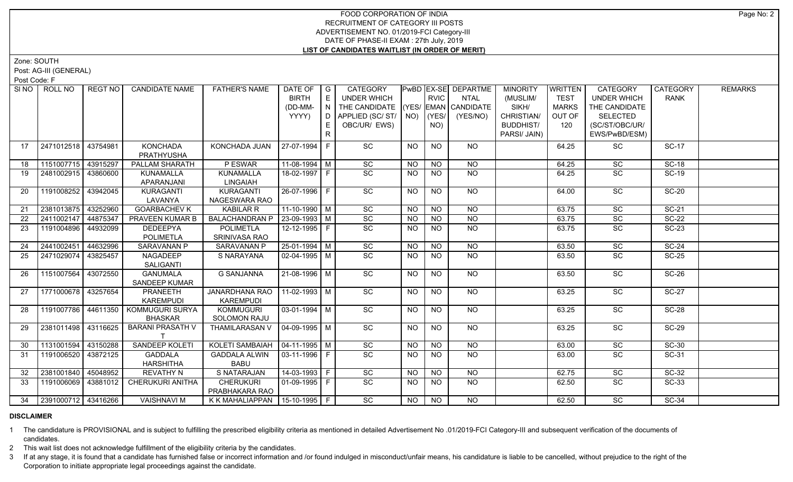# FOOD CORPORATION OF INDIA RECRUITMENT OF CATEGORY III POSTS ADVERTISEMENT NO. 01/2019-FCI Category-III DATE OF PHASE-II EXAM : 27th July, 2019 **LIST OF CANDIDATES WAITLIST (IN ORDER OF MERIT)**

Zone: SOUTH

Post: AG-III (GENERAL)

Post Code: F

| SI <sub>NO</sub> | ROLL NO               | REGT NO  | <b>CANDIDATE NAME</b>                   | <b>FATHER'S NAME</b>                         | DATE OF<br><b>BIRTH</b>        | $\overline{\phantom{a}}$ G<br>E | CATEGORY<br>UNDER WHICH            |                | <b>RVIC</b>    | PwBD EX-SE DEPARTME<br><b>NTAL</b> | <b>MINORITY</b><br>(MUSLIM/    | <b>WRITTEN</b><br><b>TEST</b> | CATEGORY<br><b>UNDER WHICH</b> | CATEGORY<br><b>RANK</b> | <b>REMARKS</b> |
|------------------|-----------------------|----------|-----------------------------------------|----------------------------------------------|--------------------------------|---------------------------------|------------------------------------|----------------|----------------|------------------------------------|--------------------------------|-------------------------------|--------------------------------|-------------------------|----------------|
|                  |                       |          |                                         |                                              | (DD-MM-                        | IN I                            | THE CANDIDATE (YES/ EMAN CANDIDATE |                |                |                                    | SIKH/                          | <b>MARKS</b>                  | THE CANDIDATE                  |                         |                |
|                  |                       |          |                                         |                                              | YYYY)                          |                                 | D   APPLIED (SC/ ST/   NO)         |                | (YES/          | (YES/NO)                           | CHRISTIAN/<br><b>BUDDHIST/</b> | OUT OF<br>120                 | <b>SELECTED</b>                |                         |                |
|                  |                       |          |                                         |                                              |                                | E.                              | OBC/UR/ EWS)                       |                | NO)            |                                    |                                |                               | (SC/ST/OBC/UR/                 |                         |                |
|                  |                       |          |                                         |                                              |                                | R                               |                                    |                |                |                                    | PARSI/ JAIN)                   |                               | EWS/PwBD/ESM)                  |                         |                |
| 17               | 2471012518 43754981   |          | <b>KONCHADA</b><br><b>PRATHYUSHA</b>    | KONCHADA JUAN                                | 27-07-1994 F                   |                                 | SC                                 | <b>NO</b>      | <b>NO</b>      | NO                                 |                                | 64.25                         | SC                             | <b>SC-17</b>            |                |
| 18               | 1151007715 43915297   |          | PALLAM SHARATH                          | P ESWAR                                      | $11-08-1994$ M                 |                                 | SC                                 | <b>NO</b>      | <b>NO</b>      | <b>NO</b>                          |                                | 64.25                         | SC                             | <b>SC-18</b>            |                |
| 19               | 2481002915 43860600   |          | KUNAMALLA<br>APARANJANI                 | <b>KUNAMALLA</b><br><b>LINGAIAH</b>          | 18-02-1997 F                   |                                 | SC                                 | <b>NO</b>      | <b>NO</b>      | <b>NO</b>                          |                                | 64.25                         | SC                             | <b>SC-19</b>            |                |
| 20               | 1191008252            | 43942045 | <b>KURAGANTI</b>                        | <b>KURAGANTI</b>                             | $26 - 07 - 1996$ F             |                                 | $\overline{SC}$                    | <b>NO</b>      | <b>NO</b>      | NO                                 |                                | 64.00                         | $\overline{SC}$                | <b>SC-20</b>            |                |
|                  |                       |          | LAVANYA                                 | NAGESWARA RAO                                |                                |                                 |                                    |                |                |                                    |                                |                               |                                |                         |                |
| 21               | 2381013875 43252960   |          | <b>GOARBACHEV K</b>                     | <b>KABILAR R</b>                             | $11-10-1990$ M                 |                                 | $\overline{SC}$                    | <b>NO</b>      | N <sub>O</sub> | N <sub>O</sub>                     |                                | 63.75                         | $\overline{SC}$                | $SC-21$                 |                |
| 22               | 2411002147 44875347   |          | <b>PRAVEEN KUMAR B</b>                  | <b>BALACHANDRAN P</b>                        | $23 - 09 - 1993$ M             |                                 | $\overline{SC}$                    | <b>NO</b>      | <b>NO</b>      | <b>NO</b>                          |                                | 63.75                         | $\overline{SC}$                | $SC-22$                 |                |
| 23               | 1191004896            | 44932099 | <b>DEDEEPYA</b>                         | <b>POLIMETLA</b>                             | 12-12-1995 F                   |                                 | $\overline{SC}$                    | <b>NO</b>      | <b>NO</b>      | <b>NO</b>                          |                                | 63.75                         | $\overline{SC}$                | <b>SC-23</b>            |                |
|                  |                       |          | <b>POLIMETLA</b>                        | SRINIVASA RAO                                |                                |                                 |                                    |                |                |                                    |                                |                               |                                |                         |                |
| 24               | 2441002451 44632996   |          | <b>SARAVANAN P</b>                      | <b>SARAVANAN P</b>                           | $25 - 01 - 1994$ M             |                                 | $\overline{SC}$                    | <b>NO</b>      | $N$ O          | $N$ O                              |                                | 63.50                         | $\overline{SC}$                | $SC-24$                 |                |
| 25               | 2471029074            | 43825457 | NAGADEEP                                | S NARAYANA                                   | $\boxed{02 - 04 - 1995}$ M     |                                 | $\overline{SC}$                    | <b>NO</b>      | NO.            | <b>NO</b>                          |                                | 63.50                         | SC                             | $SC-25$                 |                |
|                  |                       |          | SALIGANTI                               |                                              |                                |                                 |                                    |                |                |                                    |                                |                               |                                |                         |                |
| 26               | 1151007564 43072550   |          | <b>GANUMALA</b><br><b>SANDEEP KUMAR</b> | <b>G SANJANNA</b>                            | 21-08-1996 M                   |                                 | SC                                 | <b>NO</b>      | <b>NO</b>      | NO                                 |                                | 63.50                         | SC                             | <b>SC-26</b>            |                |
| 27               | 1771000678 43257654   |          | PRANEETH                                | JANARDHANA RAO   11-02-1993   M              |                                |                                 | SC                                 | NO.            | NO.            | NO.                                |                                | 63.25                         | SC                             | <b>SC-27</b>            |                |
|                  |                       |          | KAREMPUDI                               | <b>KAREMPUDI</b>                             |                                |                                 |                                    |                |                |                                    |                                |                               |                                |                         |                |
| 28               | 1191007786 44611350   |          | KOMMUGURI SURYA                         | <b>KOMMUGURI</b>                             | 03-01-1994   M                 |                                 | SC                                 | <b>NO</b>      | <b>NO</b>      | NO                                 |                                | 63.25                         | SC                             | <b>SC-28</b>            |                |
|                  |                       |          | <b>BHASKAR</b>                          | <b>SOLOMON RAJU</b>                          |                                |                                 |                                    |                |                |                                    |                                |                               |                                |                         |                |
| 29               | 2381011498 43116625   |          | <b>BARANI PRASATH V</b>                 | THAMILARASAN V   04-09-1995   M              |                                |                                 | $\overline{SC}$                    | <b>NO</b>      | <b>NO</b>      | NO                                 |                                | 63.25                         | $\overline{SC}$                | <b>SC-29</b>            |                |
| 30               | 1131001594 43150288   |          | SANDEEP KOLETI                          | <b>KOLETI SAMBAIAH</b>                       | $\sqrt{04-11-1995}$ M          |                                 | SC                                 | N <sub>O</sub> | <b>NO</b>      | $N$ O                              |                                | 63.00                         | $\overline{SC}$                | $SC-30$                 |                |
| 31               | 1191006520 43872125   |          | <b>GADDALA</b>                          | <b>GADDALA ALWIN</b>                         | $\vert 03 - 11 - 1996 \vert F$ |                                 | $\overline{SC}$                    | <b>NO</b>      | <b>NO</b>      | $N$ O                              |                                | 63.00                         | $\overline{SC}$                | $SC-31$                 |                |
|                  |                       |          | <b>HARSHITHA</b>                        | <b>BABU</b>                                  |                                |                                 |                                    |                |                |                                    |                                |                               |                                |                         |                |
| 32               | 2381001840 45048952   |          | <b>REVATHY N</b>                        | S NATARAJAN                                  | 14-03-1993   F                 |                                 | SC                                 | <b>NO</b>      | <b>NO</b>      | NO                                 |                                | 62.75                         | SC                             | <b>SC-32</b>            |                |
| 33               | 1191006069   43881012 |          | CHERUKURI ANITHA                        | <b>CHERUKURI</b><br>PRABHAKARA RAO           | $\boxed{01-09-1995}$ F         |                                 | SC                                 | <b>NO</b>      | <b>NO</b>      | NO                                 |                                | 62.50                         | SC                             | SC-33                   |                |
| 34               | 2391000712   43416266 |          | <b>VAISHNAVI M</b>                      | K K MAHALIAPPAN $\vert$ 15-10-1995 $\vert$ F |                                |                                 | SC                                 | NO             | <b>NO</b>      | <b>NO</b>                          |                                | 62.50                         | <b>SC</b>                      | <b>SC-34</b>            |                |

### **DISCLAIMER**

1 The candidature is PROVISIONAL and is subject to fulfilling the prescribed eligibility criteria as mentioned in detailed Advertisement No .01/2019-FCI Category-III and subsequent verification of the documents of candidates.

2 This wait list does not acknowledge fulfillment of the eligibility criteria by the candidates.

3 If at any stage, it is found that a candidate has furnished false or incorrect information and /or found indulged in misconduct/unfair means, his candidature is liable to be cancelled, without prejudice to the right of t Corporation to initiate appropriate legal proceedings against the candidate.

Page No: 2